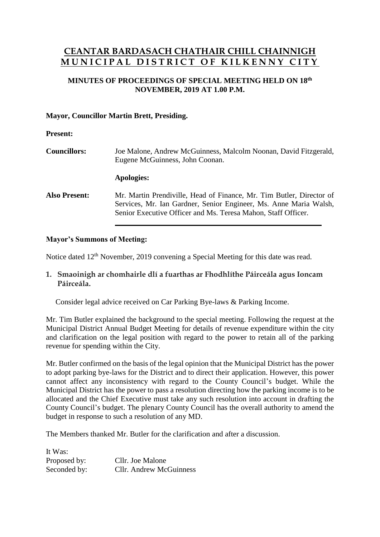# **CEANTAR BARDASACH CHATHAIR CHILL CHAINNIGH MUNICIPAL DISTRICT OF KILKENNY CITY**

## **MINUTES OF PROCEEDINGS OF SPECIAL MEETING HELD ON 18 th NOVEMBER, 2019 AT 1.00 P.M.**

## **Mayor, Councillor Martin Brett, Presiding.**

#### **Present:**

| <b>Councillors:</b>  | Joe Malone, Andrew McGuinness, Malcolm Noonan, David Fitzgerald,<br>Eugene McGuinness, John Coonan.                                                                                                        |
|----------------------|------------------------------------------------------------------------------------------------------------------------------------------------------------------------------------------------------------|
|                      | Apologies:                                                                                                                                                                                                 |
| <b>Also Present:</b> | Mr. Martin Prendiville, Head of Finance, Mr. Tim Butler, Director of<br>Services, Mr. Ian Gardner, Senior Engineer, Ms. Anne Maria Walsh,<br>Senior Executive Officer and Ms. Teresa Mahon, Staff Officer. |

### **Mayor's Summons of Meeting:**

Notice dated 12<sup>th</sup> November, 2019 convening a Special Meeting for this date was read.

## **1. Smaoinigh ar chomhairle dlí a fuarthas ar Fhodhlíthe Páirceála agus Ioncam Páirceála.**

Consider legal advice received on Car Parking Bye-laws & Parking Income.

Mr. Tim Butler explained the background to the special meeting. Following the request at the Municipal District Annual Budget Meeting for details of revenue expenditure within the city and clarification on the legal position with regard to the power to retain all of the parking revenue for spending within the City.

Mr. Butler confirmed on the basis of the legal opinion that the Municipal District has the power to adopt parking bye-laws for the District and to direct their application. However, this power cannot affect any inconsistency with regard to the County Council's budget. While the Municipal District has the power to pass a resolution directing how the parking income is to be allocated and the Chief Executive must take any such resolution into account in drafting the County Council's budget. The plenary County Council has the overall authority to amend the budget in response to such a resolution of any MD.

The Members thanked Mr. Butler for the clarification and after a discussion.

It Was: Proposed by: Cllr. Joe Malone Seconded by: Cllr. Andrew McGuinness